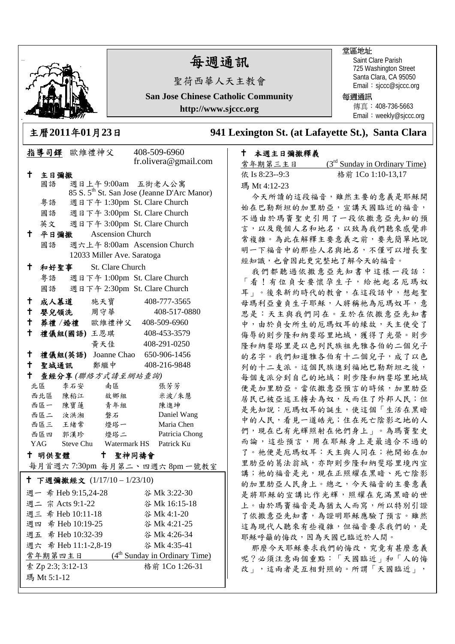瑪 Mt 5:1-12

# 每週通訊

聖荷西華人天主教會

**San Jose Chinese Catholic Community http://www.sjccc.org** 

主曆**2011**年**01**月**23**日 **941 Lexington St. (at Lafayette St.), Santa Clara** 

#### 指導司鐸 歐維禮神父 408-509-6960 fr.olivera@gmail.com 主日彌撒 國語 週日上午 9:00am 五街老人公寓 85 S. 5th St. San Jose (Jeanne D'Arc Manor) 粵語 週日下午 1:30pm St. Clare Church 國語 週日下午 3:00pm St. Clare Church 英文 週日下午 3:00pm St. Clare Church 平日彌撒Ascension Church 國語 週六上午 8:00am Ascension Church 12033 Miller Ave. Saratoga 和好聖事St. Clare Church 粵語 週日下午 1:00pm St. Clare Church 國語 週日下午 2:30pm St. Clare Church 成人慕道 施天寶 408-777-3565 嬰兒領洗 周守華 408-517-0880 葬禮 /婚禮 歐維禮神父 408-509-6960 禮儀組**(**國語**)** 王恩琪 408-453-3579 黃天佳 408-291-0250 禮儀組**(**英語**)** Joanne Chao 650-906-1456 十 聖城通訊 鄭繼中 408-216-9848 查經分享 *(*聯絡方式請至網站查詢*)* 北區 李石安 南區 張芳芳 西北區 陳稻江 故鄉組 米波/朱慧 西區一 陳寶蓮 青年組 陳進坤 西區二 汝洪湘 磐石 Daniel Wang 西區三 王緒常 燈塔一 Maria Chen 西區四 郭漢珍 燈塔二 Patricia Chong YAG Steve Chu Watermark HS Patrick Ku 十 明供聖體 每月首週六 7:30pm 每月第二、四週六 8pm 一號教室 聖神同禱會 <sup>†</sup> 下週彌撒經文  $(1/17/10 - 1/23/10)$  週一 希 Heb 9:15,24-28 谷 Mk 3:22-30 索 Zp 2:3; 3:12-13 格前 1Co 1:26-31 週二 宗 Acts 9:1-22 谷 Mk 16:15-18 週三 希 Heb 10:11-18 谷 Mk 4:1-20 週四 希 Heb 10:19-25 谷 Mk 4:21-25 週五 希 Heb 10:32-39 谷 Mk 4:26-34 週六 希 Heb 11:1-2,8-19 谷 Mk 4:35-41 常年期第四主日 (4<sup>th</sup> Sunday in Ordinary Time)

## 本週主日彌撒釋義

| $(3rd$ Sunday in Ordinary Time) |
|---------------------------------|
| 格前 1Co 1:10-13,17               |
|                                 |
|                                 |

今天所讀的這段福音,雖然主要的意義是耶穌開 始在巴勒斯坦的加里肋亞,宣講天國臨近的福音, 不過由於瑪竇聖史引用了一段依撒意亞先知的預 言,以及幾個人名和地名,以致為我們聽來感覺非 常複雜。為此在解釋主要意義之前,要先簡單地說 明一下福音中的那些人名與地名,不僅可以增長聖 經知識,也會因此更完整地了解今天的福音。

我們都聽過依撒意亞先知書中這樣一段話: 「看!有位貞女要懷孕生子,給祂起名厄瑪奴 耳」。後來新約時代的教會,在這段話中,想起聖 母瑪利亞童貞生子耶穌,人將稱祂為厄瑪奴耳,意 思是:天主與我們同在。至於在依撒意亞先知書 中,由於貞女所生的厄瑪奴耳的緣故,天主使受了 侮辱的則步隆和納婓塔里地域,獲得了光榮。則步 隆和納斐塔里是以色列民族祖先雅各伯的二個兒子 的名字。我們知道雅各伯有十二個兒子,成了以色 列的十二支派。這個民族進到福地巴勒斯坦之後, 每個支派分到自己的地域;則步隆和納斐塔里地域 便是加里肋亞。當依撒意亞預言的時候,加里肋亞 居民已被亞述王擄去為奴,反而住了外邦人民;但 是先知說:厄瑪奴耳的誕生,使這個「生活在黑暗 中的人民,看見一道皓光;住在死亡陰影之地的人 們,現在已有光輝照射在他們身上」。為瑪竇聖史 而論,這些預言,用在耶穌身上是最適合不過的 了。祂便是厄瑪奴耳:天主與人同在;祂開始在加 里肋亞的葛法翁城,亦即則步隆和納斐塔里境內宣 講;祂的福音是光,現在正照耀在黑暗、死亡陰影 的加里肋亞人民身上。總之,今天福音的主要意義 是將耶穌的宣講比作光輝,照耀在充滿黑暗的世 上。由於瑪竇福音是為猶太人而寫,所以特別引證 了依撒意亞先知書,為證明耶穌應驗了預言。雖然 這為現代人聽來有些複雜,但福音要求我們的,是 耶穌呼籲的悔改,因為天國已臨近於人間。

那麼今天耶穌要求我們的悔改,究竟有甚麼意義 呢?必須注意兩個重點:「天國臨近」和「人的悔 改」,這兩者是互相對照的。所謂「天國臨近」,

#### 堂區地址

每週通訊

Saint Clare Parish 725 Washington Street Santa Clara, CA 95050 Email: sjccc@sjccc.org

傳真:408-736-5663 Email: weekly@siccc.org